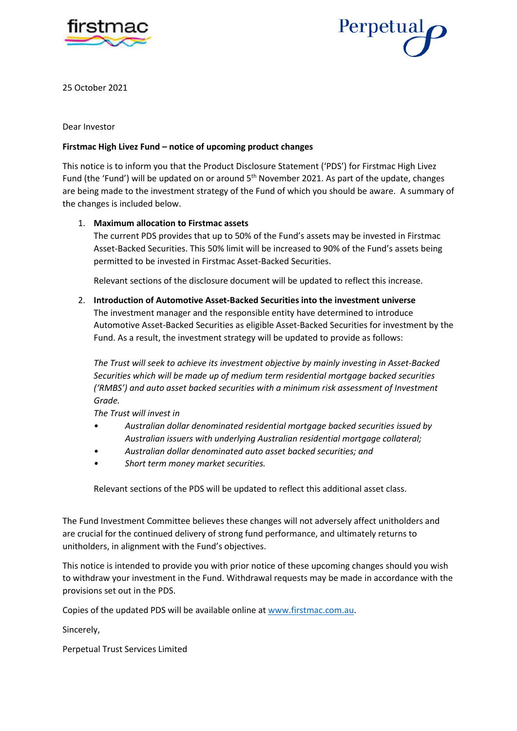



25 October 2021

Dear Investor

## **Firstmac High Livez Fund – notice of upcoming product changes**

This notice is to inform you that the Product Disclosure Statement ('PDS') for Firstmac High Livez Fund (the 'Fund') will be updated on or around 5<sup>th</sup> November 2021. As part of the update, changes are being made to the investment strategy of the Fund of which you should be aware. A summary of the changes is included below.

## 1. **Maximum allocation to Firstmac assets**

The current PDS provides that up to 50% of the Fund's assets may be invested in Firstmac Asset-Backed Securities. This 50% limit will be increased to 90% of the Fund's assets being permitted to be invested in Firstmac Asset-Backed Securities.

Relevant sections of the disclosure document will be updated to reflect this increase*.* 

2. **Introduction of Automotive Asset-Backed Securities into the investment universe** The investment manager and the responsible entity have determined to introduce Automotive Asset-Backed Securities as eligible Asset-Backed Securities for investment by the Fund. As a result, the investment strategy will be updated to provide as follows:

*The Trust will seek to achieve its investment objective by mainly investing in Asset-Backed Securities which will be made up of medium term residential mortgage backed securities ('RMBS') and auto asset backed securities with a minimum risk assessment of Investment Grade.*

*The Trust will invest in* 

- *• Australian dollar denominated residential mortgage backed securities issued by Australian issuers with underlying Australian residential mortgage collateral;*
- *• Australian dollar denominated auto asset backed securities; and*
- *• Short term money market securities.*

Relevant sections of the PDS will be updated to reflect this additional asset class.

The Fund Investment Committee believes these changes will not adversely affect unitholders and are crucial for the continued delivery of strong fund performance, and ultimately returns to unitholders, in alignment with the Fund's objectives.

This notice is intended to provide you with prior notice of these upcoming changes should you wish to withdraw your investment in the Fund. Withdrawal requests may be made in accordance with the provisions set out in the PDS.

Copies of the updated PDS will be available online at [www.firstmac.com.au.](http://www.firstmac.com.au/)

Sincerely,

Perpetual Trust Services Limited